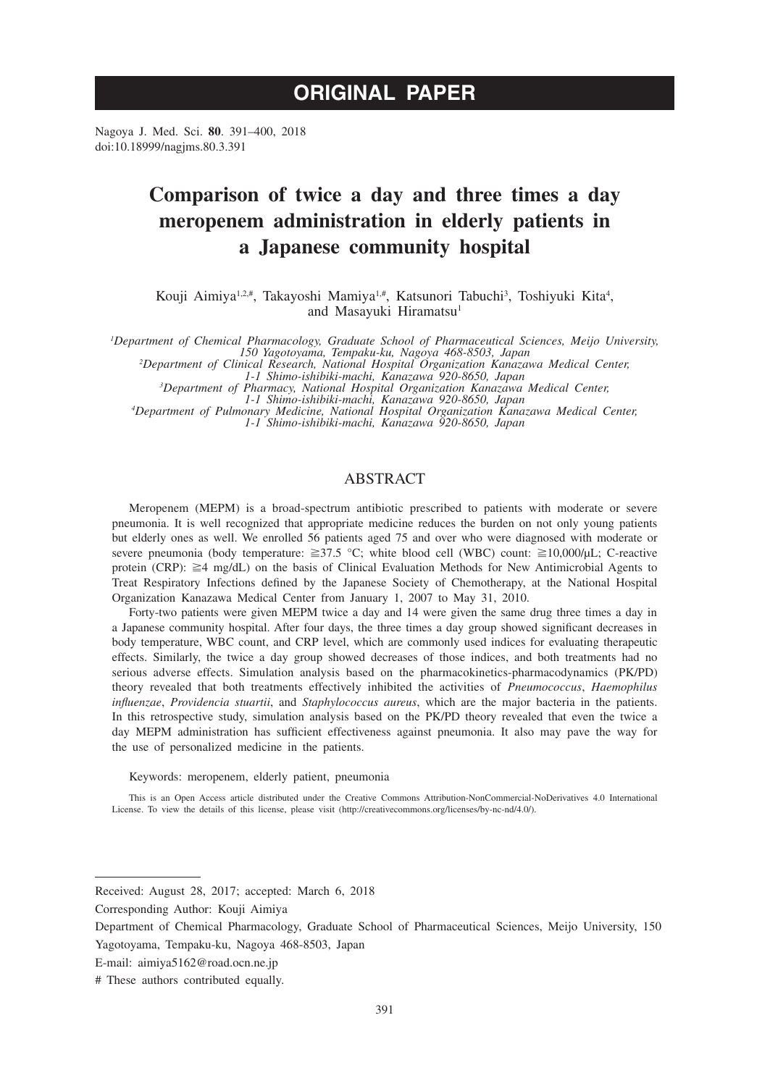# **ORIGINAL PAPER**

Nagoya J. Med. Sci. **80**. 391–400, 2018 doi:10.18999/nagjms.80.3.391

# **Comparison of twice a day and three times a day meropenem administration in elderly patients in a Japanese community hospital**

Kouji Aimiya<sup>1,2,#</sup>, Takayoshi Mamiya<sup>1,#</sup>, Katsunori Tabuchi<sup>3</sup>, Toshiyuki Kita<sup>4</sup>, and Masayuki Hiramatsu<sup>1</sup>

*1 Department of Chemical Pharmacology, Graduate School of Pharmaceutical Sciences, Meijo University, 150 Yagotoyama, Tempaku-ku, Nagoya 468-8503, Japan <sup>2</sup>*

*Department of Clinical Research, National Hospital Organization Kanazawa Medical Center,* 

*1-1 Shimo-ishibiki-machi, Kanazawa 920-8650, Japan <sup>3</sup> Department of Pharmacy, National Hospital Organization Kanazawa Medical Center,* 

*1-1 Shimo-ishibiki-machi, Kanazawa 920-8650, Japan <sup>4</sup> Department of Pulmonary Medicine, National Hospital Organization Kanazawa Medical Center, 1-1 Shimo-ishibiki-machi, Kanazawa 920-8650, Japan*

# ABSTRACT

Meropenem (MEPM) is a broad-spectrum antibiotic prescribed to patients with moderate or severe pneumonia. It is well recognized that appropriate medicine reduces the burden on not only young patients but elderly ones as well. We enrolled 56 patients aged 75 and over who were diagnosed with moderate or severe pneumonia (body temperature:  $\geq 37.5$  °C; white blood cell (WBC) count:  $\geq 10,000/\mu L$ ; C-reactive protein (CRP): ≧4 mg/dL) on the basis of Clinical Evaluation Methods for New Antimicrobial Agents to Treat Respiratory Infections defined by the Japanese Society of Chemotherapy, at the National Hospital Organization Kanazawa Medical Center from January 1, 2007 to May 31, 2010.

Forty-two patients were given MEPM twice a day and 14 were given the same drug three times a day in a Japanese community hospital. After four days, the three times a day group showed significant decreases in body temperature, WBC count, and CRP level, which are commonly used indices for evaluating therapeutic effects. Similarly, the twice a day group showed decreases of those indices, and both treatments had no serious adverse effects. Simulation analysis based on the pharmacokinetics-pharmacodynamics (PK/PD) theory revealed that both treatments effectively inhibited the activities of *Pneumococcus*, *Haemophilus influenzae*, *Providencia stuartii*, and *Staphylococcus aureus*, which are the major bacteria in the patients. In this retrospective study, simulation analysis based on the PK/PD theory revealed that even the twice a day MEPM administration has sufficient effectiveness against pneumonia. It also may pave the way for the use of personalized medicine in the patients.

Keywords: meropenem, elderly patient, pneumonia

This is an Open Access article distributed under the Creative Commons Attribution-NonCommercial-NoDerivatives 4.0 International License. To view the details of this license, please visit (http://creativecommons.org/licenses/by-nc-nd/4.0/).

Received: August 28, 2017; accepted: March 6, 2018

Corresponding Author: Kouji Aimiya

Department of Chemical Pharmacology, Graduate School of Pharmaceutical Sciences, Meijo University, 150 Yagotoyama, Tempaku-ku, Nagoya 468-8503, Japan

E-mail: aimiya5162@road.ocn.ne.jp

<sup>#</sup> These authors contributed equally.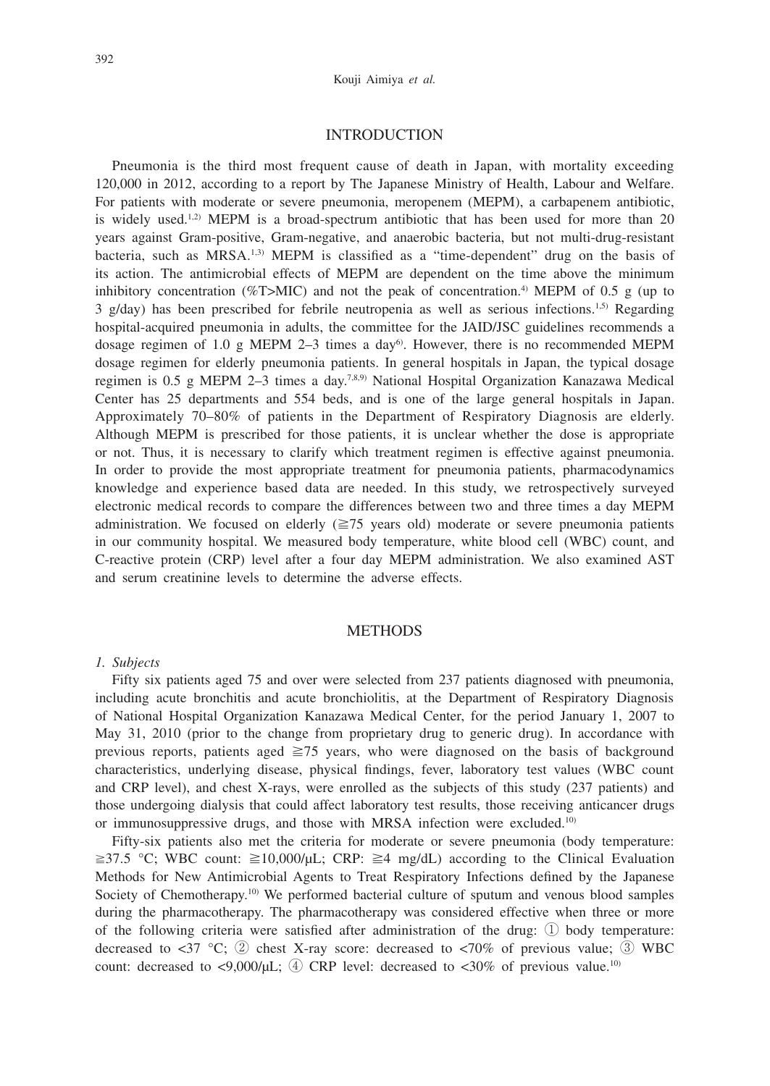# INTRODUCTION

Pneumonia is the third most frequent cause of death in Japan, with mortality exceeding 120,000 in 2012, according to a report by The Japanese Ministry of Health, Labour and Welfare. For patients with moderate or severe pneumonia, meropenem (MEPM), a carbapenem antibiotic, is widely used.<sup>1,2)</sup> MEPM is a broad-spectrum antibiotic that has been used for more than 20 years against Gram-positive, Gram-negative, and anaerobic bacteria, but not multi-drug-resistant bacteria, such as  $MRSA$ <sup>1,3)</sup> MEPM is classified as a "time-dependent" drug on the basis of its action. The antimicrobial effects of MEPM are dependent on the time above the minimum inhibitory concentration ( $\%$ T>MIC) and not the peak of concentration.<sup>4)</sup> MEPM of 0.5 g (up to  $3 \text{ g/day}$ ) has been prescribed for febrile neutropenia as well as serious infections.<sup>1,5)</sup> Regarding hospital-acquired pneumonia in adults, the committee for the JAID/JSC guidelines recommends a dosage regimen of 1.0 g MEPM 2-3 times a day<sup>6</sup>. However, there is no recommended MEPM dosage regimen for elderly pneumonia patients. In general hospitals in Japan, the typical dosage regimen is  $0.5$  g MEPM 2-3 times a day.<sup>7,8,9)</sup> National Hospital Organization Kanazawa Medical Center has 25 departments and 554 beds, and is one of the large general hospitals in Japan. Approximately 70–80% of patients in the Department of Respiratory Diagnosis are elderly. Although MEPM is prescribed for those patients, it is unclear whether the dose is appropriate or not. Thus, it is necessary to clarify which treatment regimen is effective against pneumonia. In order to provide the most appropriate treatment for pneumonia patients, pharmacodynamics knowledge and experience based data are needed. In this study, we retrospectively surveyed electronic medical records to compare the differences between two and three times a day MEPM administration. We focused on elderly ( $\geq$ 75 years old) moderate or severe pneumonia patients in our community hospital. We measured body temperature, white blood cell (WBC) count, and C-reactive protein (CRP) level after a four day MEPM administration. We also examined AST and serum creatinine levels to determine the adverse effects.

# **METHODS**

#### *1. Subjects*

Fifty six patients aged 75 and over were selected from 237 patients diagnosed with pneumonia, including acute bronchitis and acute bronchiolitis, at the Department of Respiratory Diagnosis of National Hospital Organization Kanazawa Medical Center, for the period January 1, 2007 to May 31, 2010 (prior to the change from proprietary drug to generic drug). In accordance with previous reports, patients aged  $\geq$ 75 years, who were diagnosed on the basis of background characteristics, underlying disease, physical findings, fever, laboratory test values (WBC count and CRP level), and chest X-rays, were enrolled as the subjects of this study (237 patients) and those undergoing dialysis that could affect laboratory test results, those receiving anticancer drugs or immunosuppressive drugs, and those with MRSA infection were excluded.10)

Fifty-six patients also met the criteria for moderate or severe pneumonia (body temperature:  $\geq$ 37.5 °C; WBC count:  $\geq$ 10,000/μL; CRP:  $\geq$ 4 mg/dL) according to the Clinical Evaluation Methods for New Antimicrobial Agents to Treat Respiratory Infections defined by the Japanese Society of Chemotherapy.<sup>10)</sup> We performed bacterial culture of sputum and venous blood samples during the pharmacotherapy. The pharmacotherapy was considered effective when three or more of the following criteria were satisfied after administration of the drug: ① body temperature: decreased to  $\langle 37 \,^{\circ} \text{C}$ ; (2) chest X-ray score: decreased to  $\langle 70\% \,^{\circ} \text{C} \rangle$  of previous value; (3) WBC count: decreased to  $\langle 9,000/\mu L; (4) \text{ CRP}$  level: decreased to  $\langle 30\% \text{ of}$  previous value.<sup>10)</sup>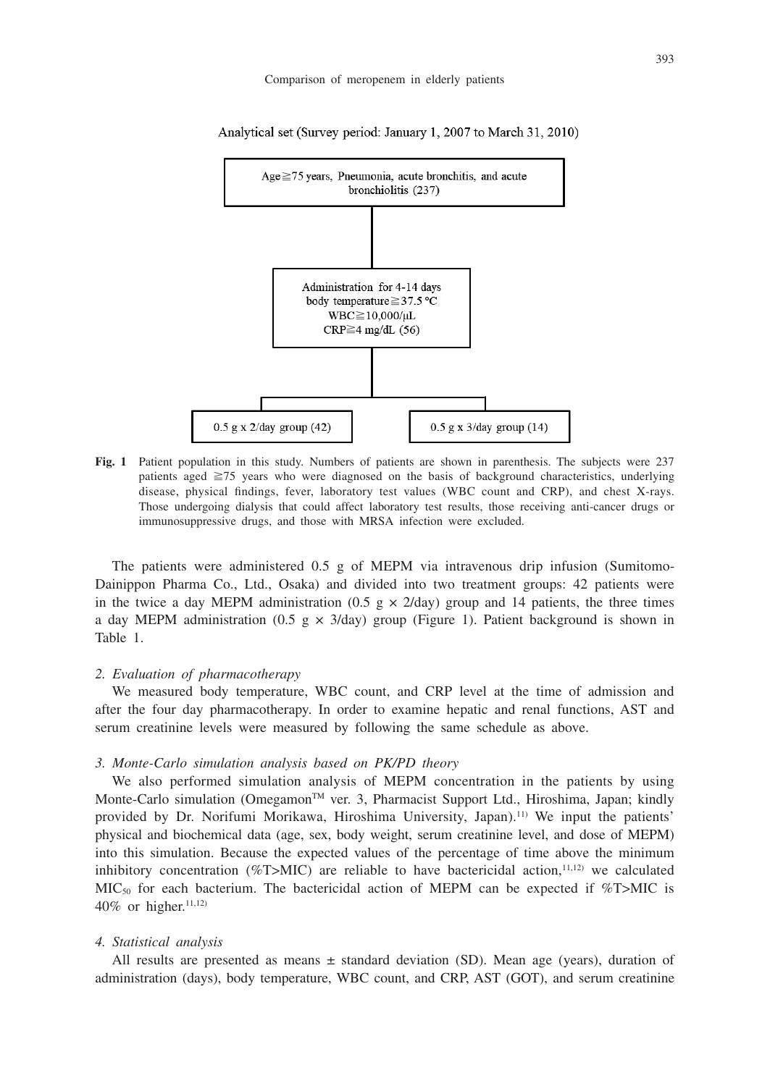

Analytical set (Survey period: January 1, 2007 to March 31, 2010)

**Fig. 1** Patient population in this study. Numbers of patients are shown in parenthesis. The subjects were 237 patients aged ≧75 years who were diagnosed on the basis of background characteristics, underlying disease, physical findings, fever, laboratory test values (WBC count and CRP), and chest X-rays. Those undergoing dialysis that could affect laboratory test results, those receiving anti-cancer drugs or immunosuppressive drugs, and those with MRSA infection were excluded.

The patients were administered 0.5 g of MEPM via intravenous drip infusion (Sumitomo-Dainippon Pharma Co., Ltd., Osaka) and divided into two treatment groups: 42 patients were in the twice a day MEPM administration (0.5 g  $\times$  2/day) group and 14 patients, the three times a day MEPM administration (0.5 g  $\times$  3/day) group (Figure 1). Patient background is shown in Table 1.

### *2. Evaluation of pharmacotherapy*

We measured body temperature, WBC count, and CRP level at the time of admission and after the four day pharmacotherapy. In order to examine hepatic and renal functions, AST and serum creatinine levels were measured by following the same schedule as above.

#### *3. Monte-Carlo simulation analysis based on PK/PD theory*

We also performed simulation analysis of MEPM concentration in the patients by using Monte-Carlo simulation (Omegamon<sup>TM</sup> ver. 3, Pharmacist Support Ltd., Hiroshima, Japan; kindly provided by Dr. Norifumi Morikawa, Hiroshima University, Japan).11) We input the patients' physical and biochemical data (age, sex, body weight, serum creatinine level, and dose of MEPM) into this simulation. Because the expected values of the percentage of time above the minimum inhibitory concentration (%T>MIC) are reliable to have bactericidal action, $11,12$ ) we calculated  $MIC<sub>50</sub>$  for each bacterium. The bactericidal action of MEPM can be expected if %T>MIC is 40% or higher.<sup>11,12)</sup>

## *4. Statistical analysis*

All results are presented as means  $\pm$  standard deviation (SD). Mean age (years), duration of administration (days), body temperature, WBC count, and CRP, AST (GOT), and serum creatinine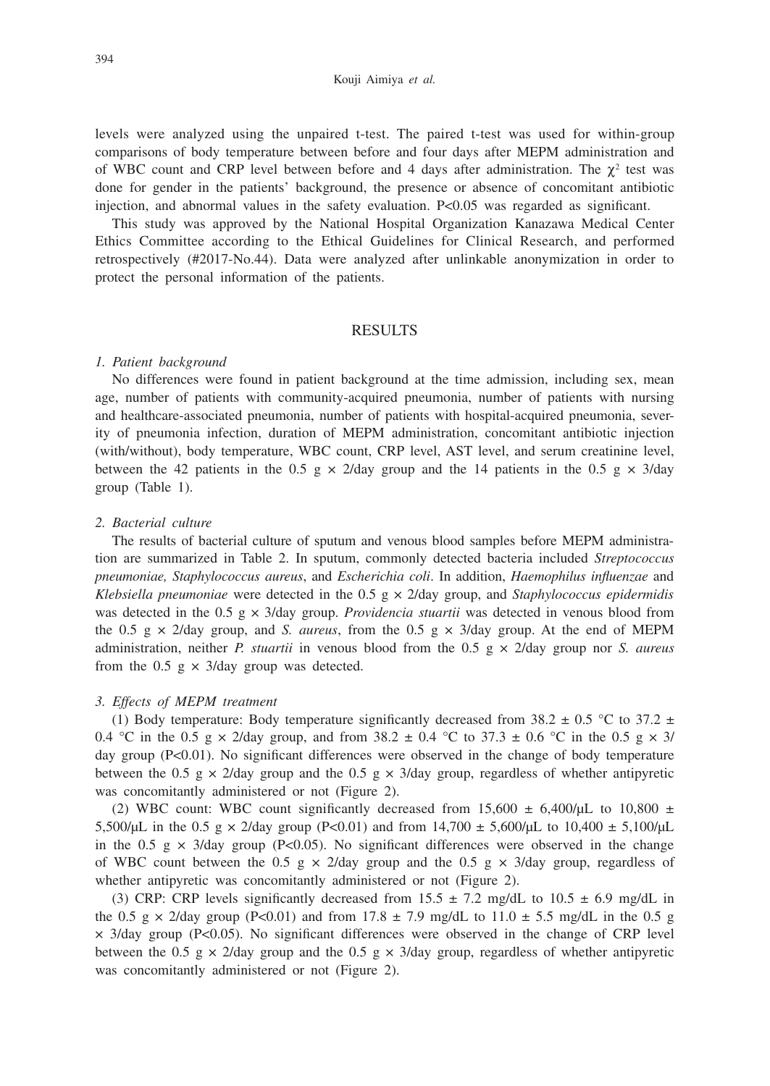levels were analyzed using the unpaired t-test. The paired t-test was used for within-group comparisons of body temperature between before and four days after MEPM administration and of WBC count and CRP level between before and 4 days after administration. The  $\chi^2$  test was done for gender in the patients' background, the presence or absence of concomitant antibiotic injection, and abnormal values in the safety evaluation. P<0.05 was regarded as significant.

This study was approved by the National Hospital Organization Kanazawa Medical Center Ethics Committee according to the Ethical Guidelines for Clinical Research, and performed retrospectively (#2017-No.44). Data were analyzed after unlinkable anonymization in order to protect the personal information of the patients.

# RESULTS

#### *1. Patient background*

No differences were found in patient background at the time admission, including sex, mean age, number of patients with community-acquired pneumonia, number of patients with nursing and healthcare-associated pneumonia, number of patients with hospital-acquired pneumonia, severity of pneumonia infection, duration of MEPM administration, concomitant antibiotic injection (with/without), body temperature, WBC count, CRP level, AST level, and serum creatinine level, between the 42 patients in the 0.5 g  $\times$  2/day group and the 14 patients in the 0.5 g  $\times$  3/day group (Table 1).

# *2. Bacterial culture*

The results of bacterial culture of sputum and venous blood samples before MEPM administration are summarized in Table 2. In sputum, commonly detected bacteria included *Streptococcus pneumoniae, Staphylococcus aureus*, and *Escherichia coli*. In addition, *Haemophilus influenzae* and *Klebsiella pneumoniae* were detected in the 0.5 g × 2/day group, and *Staphylococcus epidermidis* was detected in the 0.5 g × 3/day group. *Providencia stuartii* was detected in venous blood from the 0.5 g  $\times$  2/day group, and *S. aureus*, from the 0.5 g  $\times$  3/day group. At the end of MEPM administration, neither *P. stuartii* in venous blood from the 0.5 g × 2/day group nor *S. aureus* from the 0.5 g  $\times$  3/day group was detected.

# *3. Effects of MEPM treatment*

(1) Body temperature: Body temperature significantly decreased from 38.2  $\pm$  0.5 °C to 37.2  $\pm$ 0.4 °C in the 0.5 g  $\times$  2/day group, and from 38.2  $\pm$  0.4 °C to 37.3  $\pm$  0.6 °C in the 0.5 g  $\times$  3/ day group (P<0.01). No significant differences were observed in the change of body temperature between the 0.5 g  $\times$  2/day group and the 0.5 g  $\times$  3/day group, regardless of whether antipyretic was concomitantly administered or not (Figure 2).

(2) WBC count: WBC count significantly decreased from  $15,600 \pm 6,400/\mu$ L to  $10,800 \pm 1,400/\mu$ 5,500/μL in the 0.5 g  $\times$  2/day group (P<0.01) and from 14,700  $\pm$  5,600/μL to 10,400  $\pm$  5,100/μL in the 0.5 g  $\times$  3/day group (P<0.05). No significant differences were observed in the change of WBC count between the 0.5 g  $\times$  2/day group and the 0.5 g  $\times$  3/day group, regardless of whether antipyretic was concomitantly administered or not (Figure 2).

(3) CRP: CRP levels significantly decreased from 15.5  $\pm$  7.2 mg/dL to 10.5  $\pm$  6.9 mg/dL in the 0.5 g  $\times$  2/day group (P<0.01) and from 17.8  $\pm$  7.9 mg/dL to 11.0  $\pm$  5.5 mg/dL in the 0.5 g  $\times$  3/day group (P<0.05). No significant differences were observed in the change of CRP level between the 0.5 g  $\times$  2/day group and the 0.5 g  $\times$  3/day group, regardless of whether antipyretic was concomitantly administered or not (Figure 2).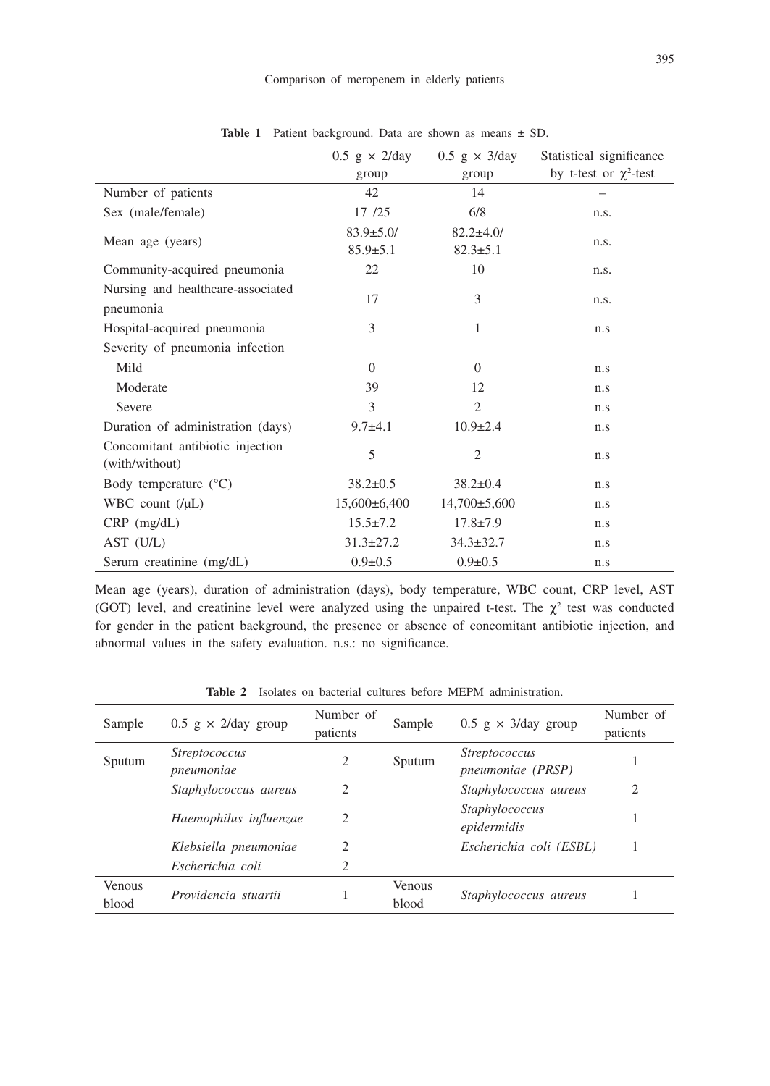|                                                    | $0.5$ g $\times$ 2/day            | $0.5$ g $\times$ 3/day             | Statistical significance    |
|----------------------------------------------------|-----------------------------------|------------------------------------|-----------------------------|
|                                                    | group                             | group                              | by t-test or $\chi^2$ -test |
| Number of patients                                 | 42                                | 14                                 |                             |
| Sex (male/female)                                  | 17 /25                            | 6/8                                | n.s.                        |
| Mean age (years)                                   | $83.9 \pm 5.0/$<br>$85.9 \pm 5.1$ | $82.2 \pm 4.0$ /<br>$82.3 \pm 5.1$ | n.s.                        |
| Community-acquired pneumonia                       | 22                                | 10                                 | n.s.                        |
| Nursing and healthcare-associated<br>pneumonia     | 17                                | 3                                  | n.s.                        |
| Hospital-acquired pneumonia                        | 3                                 | 1                                  | n.s                         |
| Severity of pneumonia infection                    |                                   |                                    |                             |
| Mild                                               | $\Omega$                          | $\Omega$                           | n.s                         |
| Moderate                                           | 39                                | 12                                 | n.s                         |
| Severe                                             | 3                                 | $\overline{2}$                     | n.s                         |
| Duration of administration (days)                  | $9.7 + 4.1$                       | $10.9 \pm 2.4$                     | n.s                         |
| Concomitant antibiotic injection<br>(with/without) | 5                                 | $\overline{c}$                     | n.s                         |
| Body temperature $(^{\circ}C)$                     | $38.2 \pm 0.5$                    | $38.2 \pm 0.4$                     | n.s                         |
| WBC count $(\mu L)$                                | $15,600\pm6,400$                  | $14,700\pm5,600$                   | n.s                         |
| $CRP$ (mg/dL)                                      | $15.5 \pm 7.2$                    | $17.8 \pm 7.9$                     | n.s                         |
| $AST$ $(U/L)$                                      | $31.3 \pm 27.2$                   | $34.3 \pm 32.7$                    | n.s                         |
| Serum creatinine (mg/dL)                           | $0.9 \pm 0.5$                     | $0.9 \pm 0.5$                      | n.s                         |

**Table 1** Patient background. Data are shown as means ± SD.

Mean age (years), duration of administration (days), body temperature, WBC count, CRP level, AST (GOT) level, and creatinine level were analyzed using the unpaired t-test. The  $\chi^2$  test was conducted for gender in the patient background, the presence or absence of concomitant antibiotic injection, and abnormal values in the safety evaluation. n.s.: no significance.

| Sample                 | $0.5$ g $\times$ 2/day group       | Number of<br>patients | Sample                 | $0.5 \text{ g} \times 3/\text{day}$ group        | Number of<br>patients |
|------------------------|------------------------------------|-----------------------|------------------------|--------------------------------------------------|-----------------------|
| Sputum                 | <i>Streptococcus</i><br>pneumoniae | $\overline{2}$        | Sputum                 | <i>Streptococcus</i><br><i>pneumoniae (PRSP)</i> |                       |
|                        | Staphylococcus aureus              | 2                     |                        | Staphylococcus aureus                            | 2                     |
|                        | Haemophilus influenzae             | $\overline{2}$        |                        | <i>Staphylococcus</i><br>epidermidis             |                       |
|                        | Klebsiella pneumoniae              | 2                     |                        | Escherichia coli (ESBL)                          |                       |
|                        | Escherichia coli                   | 2                     |                        |                                                  |                       |
| <b>Venous</b><br>blood | Providencia stuartii               |                       | <b>Venous</b><br>blood | Staphylococcus aureus                            |                       |

**Table 2** Isolates on bacterial cultures before MEPM administration.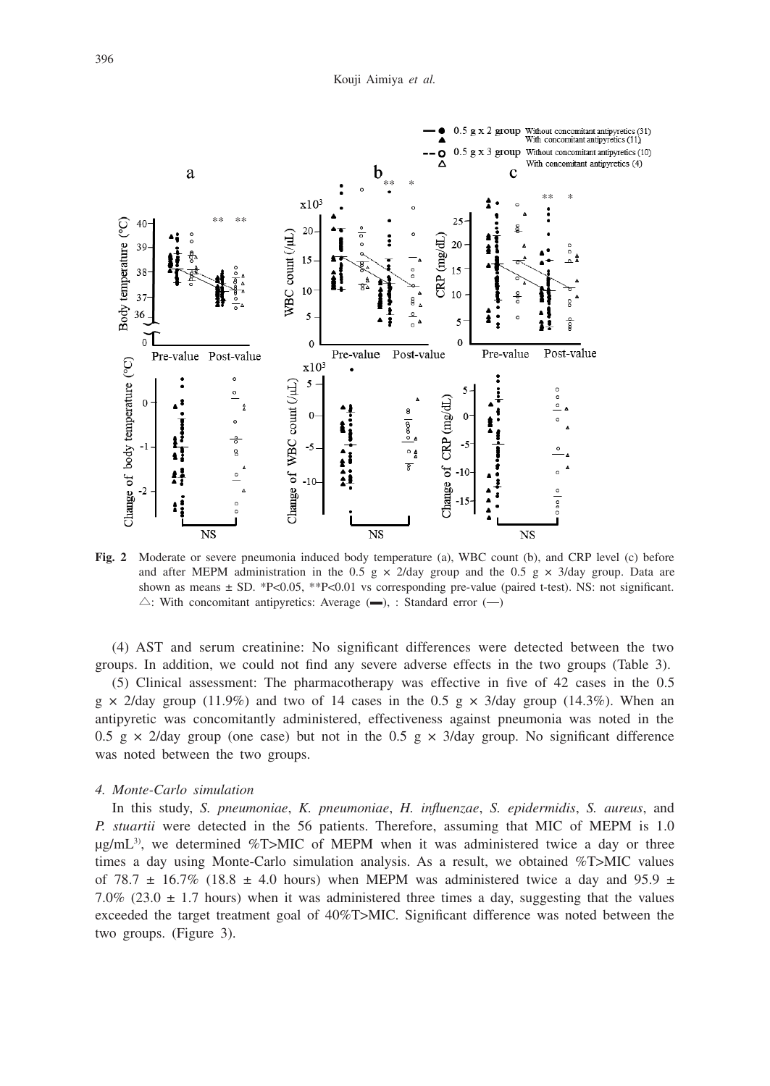

**Fig. 2** Moderate or severe pneumonia induced body temperature (a), WBC count (b), and CRP level (c) before and after MEPM administration in the 0.5 g  $\times$  2/day group and the 0.5 g  $\times$  3/day group. Data are shown as means  $\pm$  SD. \*P<0.05, \*\*P<0.01 vs corresponding pre-value (paired t-test). NS: not significant.  $\triangle$ : With concomitant antipyretics: Average  $($ , : Standard error  $($  $-)$ 

(4) AST and serum creatinine: No significant differences were detected between the two groups. In addition, we could not find any severe adverse effects in the two groups (Table 3).

(5) Clinical assessment: The pharmacotherapy was effective in five of 42 cases in the 0.5  $g \times 2$ /day group (11.9%) and two of 14 cases in the 0.5 g  $\times$  3/day group (14.3%). When an antipyretic was concomitantly administered, effectiveness against pneumonia was noted in the 0.5 g  $\times$  2/day group (one case) but not in the 0.5 g  $\times$  3/day group. No significant difference was noted between the two groups.

### *4. Monte-Carlo simulation*

In this study, *S. pneumoniae*, *K. pneumoniae*, *H. influenzae*, *S. epidermidis*, *S. aureus*, and *P. stuartii* were detected in the 56 patients. Therefore, assuming that MIC of MEPM is 1.0  $\mu$ g/mL<sup>3</sup>), we determined %T>MIC of MEPM when it was administered twice a day or three times a day using Monte-Carlo simulation analysis. As a result, we obtained %T>MIC values of 78.7  $\pm$  16.7% (18.8  $\pm$  4.0 hours) when MEPM was administered twice a day and 95.9  $\pm$ 7.0% (23.0  $\pm$  1.7 hours) when it was administered three times a day, suggesting that the values exceeded the target treatment goal of 40%T>MIC. Significant difference was noted between the two groups. (Figure 3).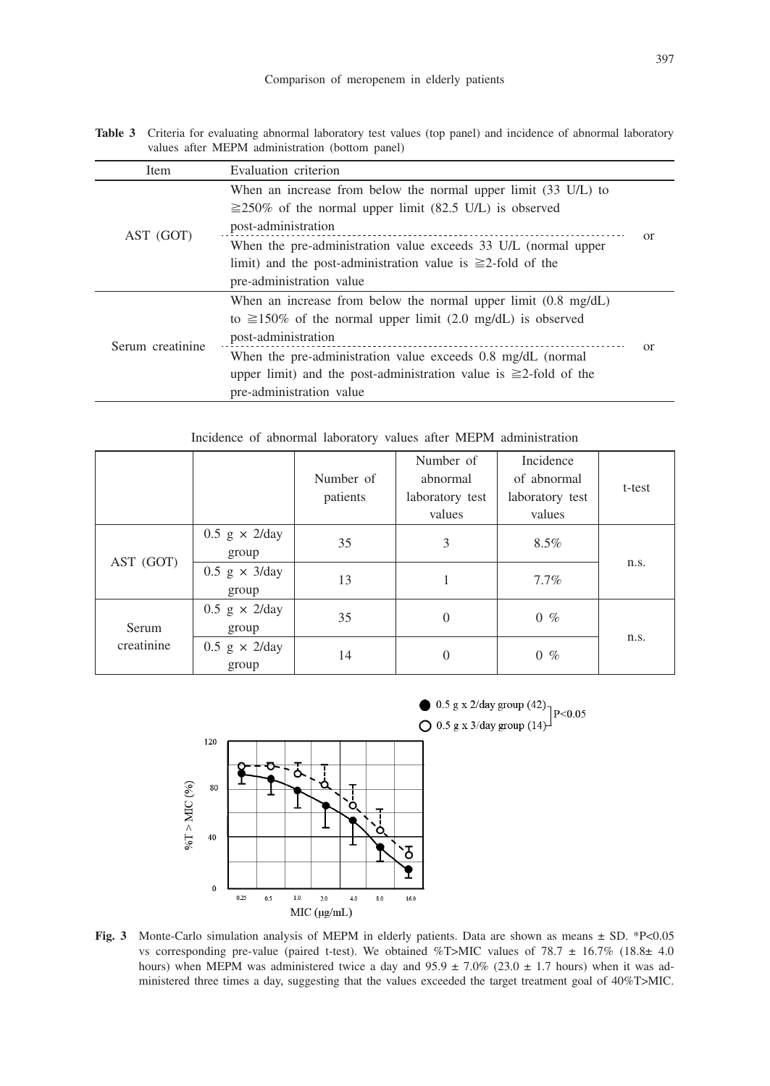**Table 3** Criteria for evaluating abnormal laboratory test values (top panel) and incidence of abnormal laboratory values after MEPM administration (bottom panel)

| Item             | Evaluation criterion                                                                                                                                                                                                               |  |                          |  |
|------------------|------------------------------------------------------------------------------------------------------------------------------------------------------------------------------------------------------------------------------------|--|--------------------------|--|
| AST (GOT)        | When an increase from below the normal upper limit (33 U/L) to                                                                                                                                                                     |  |                          |  |
|                  | $\geq$ 250% of the normal upper limit (82.5 U/L) is observed                                                                                                                                                                       |  |                          |  |
|                  | post-administration                                                                                                                                                                                                                |  |                          |  |
|                  | When the pre-administration value exceeds 33 U/L (normal upper                                                                                                                                                                     |  |                          |  |
|                  | limit) and the post-administration value is $\geq 2$ -fold of the                                                                                                                                                                  |  |                          |  |
|                  | pre-administration value                                                                                                                                                                                                           |  |                          |  |
| Serum creatinine | When an increase from below the normal upper limit $(0.8 \text{ mg/dL})$                                                                                                                                                           |  |                          |  |
|                  | to $\geq 150\%$ of the normal upper limit (2.0 mg/dL) is observed<br>post-administration<br>When the pre-administration value exceeds 0.8 mg/dL (normal<br>upper limit) and the post-administration value is $\geq 2$ -fold of the |  |                          |  |
|                  |                                                                                                                                                                                                                                    |  | pre-administration value |  |

Incidence of abnormal laboratory values after MEPM administration

|                     |                                 | Number of<br>patients | Number of<br>abnormal<br>laboratory test<br>values | Incidence<br>of abnormal<br>laboratory test<br>values | t-test |
|---------------------|---------------------------------|-----------------------|----------------------------------------------------|-------------------------------------------------------|--------|
| AST (GOT)           | $0.5$ g $\times$ 2/day<br>group | 35                    | 3                                                  | 8.5%                                                  | n.s.   |
|                     | $0.5$ g $\times$ 3/day<br>group | 13                    |                                                    | $7.7\%$                                               |        |
| Serum<br>creatinine | $0.5$ g $\times$ 2/day<br>group | 35                    | $\theta$                                           | $0 \%$                                                |        |
|                     | $0.5$ g $\times$ 2/day<br>group | 14                    | $\theta$                                           | $0 \%$                                                | n.s.   |



**Fig. 3** Monte-Carlo simulation analysis of MEPM in elderly patients. Data are shown as means  $\pm$  SD. \*P<0.05 vs corresponding pre-value (paired t-test). We obtained %T>MIC values of 78.7  $\pm$  16.7% (18.8 $\pm$  4.0 hours) when MEPM was administered twice a day and  $95.9 \pm 7.0\%$  (23.0  $\pm$  1.7 hours) when it was administered three times a day, suggesting that the values exceeded the target treatment goal of 40%T>MIC.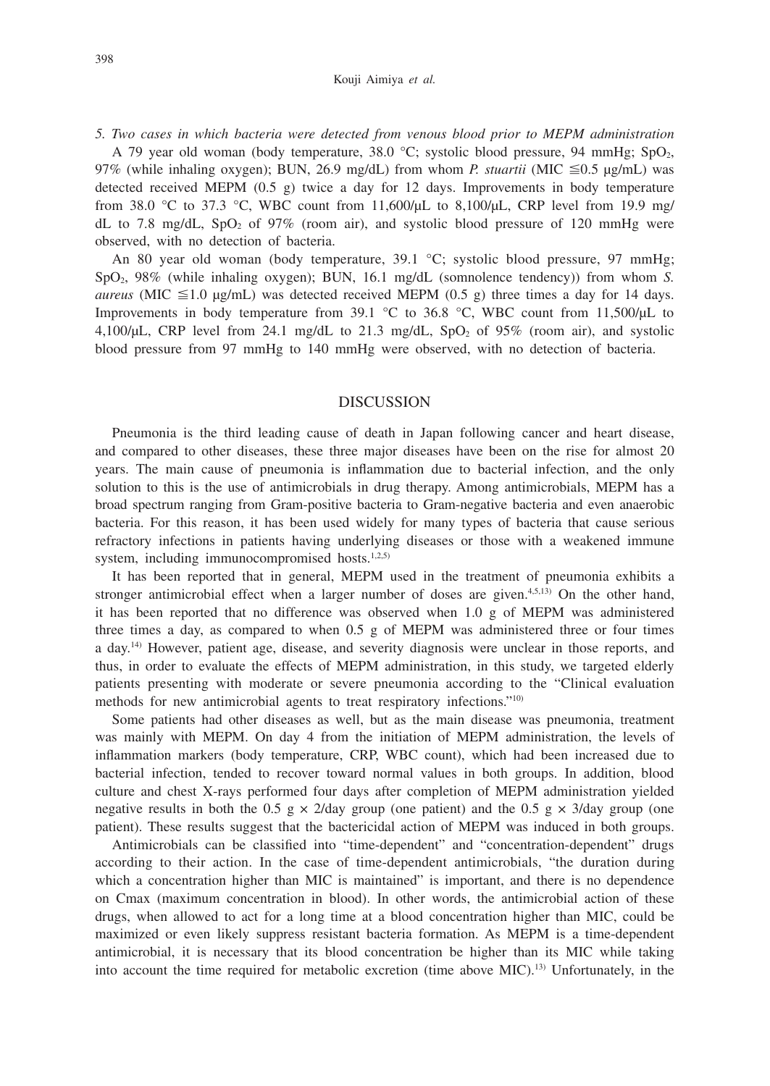#### Kouji Aimiya *et al.*

*5. Two cases in which bacteria were detected from venous blood prior to MEPM administration*

A 79 year old woman (body temperature,  $38.0 \degree C$ ; systolic blood pressure,  $94 \space \text{mmHg}$ ;  $SpO<sub>2</sub>$ , 97% (while inhaling oxygen); BUN, 26.9 mg/dL) from whom *P. stuartii* (MIC  $\leq 0.5$  µg/mL) was detected received MEPM (0.5 g) twice a day for 12 days. Improvements in body temperature from 38.0 °C to 37.3 °C, WBC count from 11,600/ $\mu$ L to 8,100/ $\mu$ L, CRP level from 19.9 mg/ dL to 7.8 mg/dL,  $SpO<sub>2</sub>$  of 97% (room air), and systolic blood pressure of 120 mmHg were observed, with no detection of bacteria.

An 80 year old woman (body temperature, 39.1 °C; systolic blood pressure, 97 mmHg; SpO2, 98% (while inhaling oxygen); BUN, 16.1 mg/dL (somnolence tendency)) from whom *S. aureus* (MIC  $\leq$ 1.0 μg/mL) was detected received MEPM (0.5 g) three times a day for 14 days. Improvements in body temperature from 39.1 °C to 36.8 °C, WBC count from 11,500/μL to 4,100/μL, CRP level from 24.1 mg/dL to 21.3 mg/dL,  $SpO<sub>2</sub>$  of 95% (room air), and systolic blood pressure from 97 mmHg to 140 mmHg were observed, with no detection of bacteria.

# **DISCUSSION**

Pneumonia is the third leading cause of death in Japan following cancer and heart disease, and compared to other diseases, these three major diseases have been on the rise for almost 20 years. The main cause of pneumonia is inflammation due to bacterial infection, and the only solution to this is the use of antimicrobials in drug therapy. Among antimicrobials, MEPM has a broad spectrum ranging from Gram-positive bacteria to Gram-negative bacteria and even anaerobic bacteria. For this reason, it has been used widely for many types of bacteria that cause serious refractory infections in patients having underlying diseases or those with a weakened immune system, including immunocompromised hosts.<sup>1,2,5)</sup>

It has been reported that in general, MEPM used in the treatment of pneumonia exhibits a stronger antimicrobial effect when a larger number of doses are given.<sup>4,5,13)</sup> On the other hand, it has been reported that no difference was observed when 1.0 g of MEPM was administered three times a day, as compared to when 0.5 g of MEPM was administered three or four times a day.14) However, patient age, disease, and severity diagnosis were unclear in those reports, and thus, in order to evaluate the effects of MEPM administration, in this study, we targeted elderly patients presenting with moderate or severe pneumonia according to the "Clinical evaluation methods for new antimicrobial agents to treat respiratory infections."10)

Some patients had other diseases as well, but as the main disease was pneumonia, treatment was mainly with MEPM. On day 4 from the initiation of MEPM administration, the levels of inflammation markers (body temperature, CRP, WBC count), which had been increased due to bacterial infection, tended to recover toward normal values in both groups. In addition, blood culture and chest X-rays performed four days after completion of MEPM administration yielded negative results in both the 0.5 g  $\times$  2/day group (one patient) and the 0.5 g  $\times$  3/day group (one patient). These results suggest that the bactericidal action of MEPM was induced in both groups.

Antimicrobials can be classified into "time-dependent" and "concentration-dependent" drugs according to their action. In the case of time-dependent antimicrobials, "the duration during which a concentration higher than MIC is maintained" is important, and there is no dependence on Cmax (maximum concentration in blood). In other words, the antimicrobial action of these drugs, when allowed to act for a long time at a blood concentration higher than MIC, could be maximized or even likely suppress resistant bacteria formation. As MEPM is a time-dependent antimicrobial, it is necessary that its blood concentration be higher than its MIC while taking into account the time required for metabolic excretion (time above MIC).13) Unfortunately, in the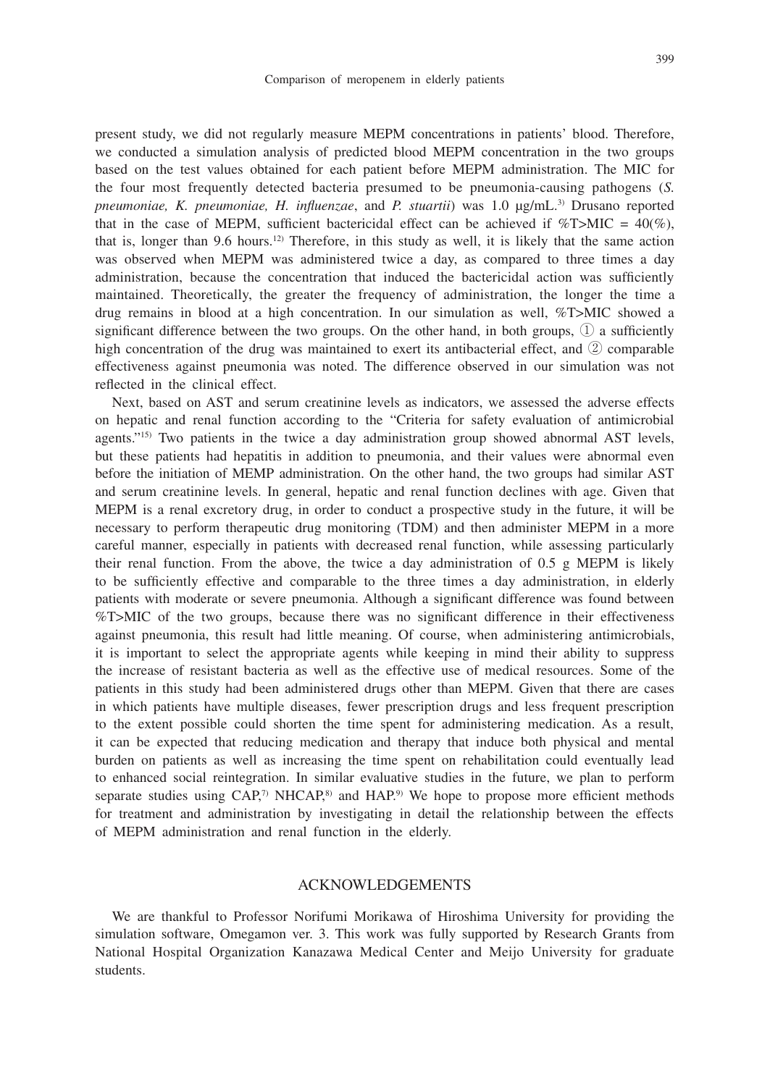399

present study, we did not regularly measure MEPM concentrations in patients' blood. Therefore, we conducted a simulation analysis of predicted blood MEPM concentration in the two groups based on the test values obtained for each patient before MEPM administration. The MIC for the four most frequently detected bacteria presumed to be pneumonia-causing pathogens (*S. pneumoniae, K. pneumoniae, H. influenzae*, and *P. stuartii*) was 1.0 μg/mL.3) Drusano reported that in the case of MEPM, sufficient bactericidal effect can be achieved if  $\%T>MIC = 40(\%)$ , that is, longer than 9.6 hours.<sup>12)</sup> Therefore, in this study as well, it is likely that the same action was observed when MEPM was administered twice a day, as compared to three times a day administration, because the concentration that induced the bactericidal action was sufficiently maintained. Theoretically, the greater the frequency of administration, the longer the time a drug remains in blood at a high concentration. In our simulation as well, %T>MIC showed a significant difference between the two groups. On the other hand, in both groups,  $\mathbb{Q}$  a sufficiently high concentration of the drug was maintained to exert its antibacterial effect, and ② comparable effectiveness against pneumonia was noted. The difference observed in our simulation was not reflected in the clinical effect.

Next, based on AST and serum creatinine levels as indicators, we assessed the adverse effects on hepatic and renal function according to the "Criteria for safety evaluation of antimicrobial agents."15) Two patients in the twice a day administration group showed abnormal AST levels, but these patients had hepatitis in addition to pneumonia, and their values were abnormal even before the initiation of MEMP administration. On the other hand, the two groups had similar AST and serum creatinine levels. In general, hepatic and renal function declines with age. Given that MEPM is a renal excretory drug, in order to conduct a prospective study in the future, it will be necessary to perform therapeutic drug monitoring (TDM) and then administer MEPM in a more careful manner, especially in patients with decreased renal function, while assessing particularly their renal function. From the above, the twice a day administration of  $0.5 \text{ g}$  MEPM is likely to be sufficiently effective and comparable to the three times a day administration, in elderly patients with moderate or severe pneumonia. Although a significant difference was found between %T>MIC of the two groups, because there was no significant difference in their effectiveness against pneumonia, this result had little meaning. Of course, when administering antimicrobials, it is important to select the appropriate agents while keeping in mind their ability to suppress the increase of resistant bacteria as well as the effective use of medical resources. Some of the patients in this study had been administered drugs other than MEPM. Given that there are cases in which patients have multiple diseases, fewer prescription drugs and less frequent prescription to the extent possible could shorten the time spent for administering medication. As a result, it can be expected that reducing medication and therapy that induce both physical and mental burden on patients as well as increasing the time spent on rehabilitation could eventually lead to enhanced social reintegration. In similar evaluative studies in the future, we plan to perform separate studies using  $CAP$ ,<sup>7</sup> NHCAP,<sup>8)</sup> and HAP.<sup>9)</sup> We hope to propose more efficient methods for treatment and administration by investigating in detail the relationship between the effects of MEPM administration and renal function in the elderly.

# ACKNOWLEDGEMENTS

We are thankful to Professor Norifumi Morikawa of Hiroshima University for providing the simulation software, Omegamon ver. 3. This work was fully supported by Research Grants from National Hospital Organization Kanazawa Medical Center and Meijo University for graduate students.